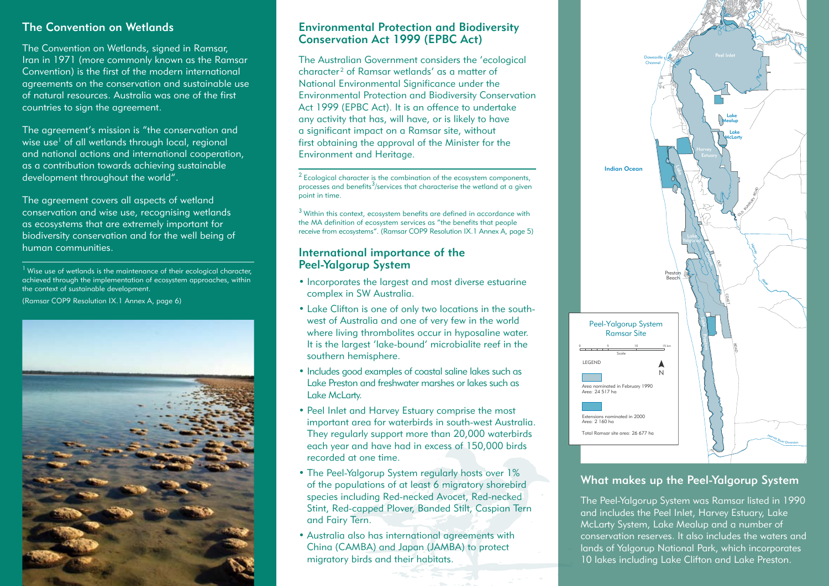#### The Convention on Wetlands

The Convention on Wetlands, signed in Ramsar, Iran in 1971 (more commonly known as the Ramsar Convention) is the first of the modern international agreements on the conservation and sustainable use of natural resources. Australia was one of the first countries to sign the agreement.

The agreement's mission is "the conservation and wise use<sup>1</sup> of all wetlands through local, regional and national actions and international cooperation, as a contribution towards achieving sustainable development throughout the world".

The agreement covers all aspects of wetland conservation and wise use, recognising wetlands as ecosystems that are extremely important for biodiversity conservation and for the well being of human communities.

 $<sup>1</sup>$  Wise use of wetlands is the maintenance of their ecological character,</sup> achieved through the implementation of ecosystem approaches, within the context of sustainable development. (Ramsar COP9 Resolution IX.1 Annex A, page 6)



#### Environmental Protection and Biodiversity Conservation Act 1999 (EPBC Act)

The Australian Government considers the 'ecological character<sup>2</sup> of Ramsar wetlands' as a matter of National Environmental Significance under the Environmental Protection and Biodiversity Conservation Act 1999 (EPBC Act). It is an offence to undertake any activity that has, will have, or is likely to have a significant impact on a Ramsar site, without first obtaining the approval of the Minister for the Environment and Heritage.

2 Ecological character is the combination of the ecosystem components, processes and benefits $3/$ services that characterise the wetland at a given point in time.

3 Within this context, ecosystem benefits are defined in accordance with the MA definition of ecosystem services as "the benefits that people receive from ecosystems". (Ramsar COP9 Resolution IX.1 Annex A, page 5)

#### International importance of the Peel-Yalgorup System

- Incorporates the largest and most diverse estuarine complex in SW Australia.
- Lake Clifton is one of only two locations in the southwest of Australia and one of very few in the world where living thrombolites occur in hyposaline water. It is the largest 'lake-bound' microbialite reef in the southern hemisphere.
- Includes good examples of coastal saline lakes such as Lake Preston and freshwater marshes or lakes such as Lake McLarty.
- Peel Inlet and Harvey Estuary comprise the most important area for waterbirds in south-west Australia. They regularly support more than 20,000 waterbirds each year and have had in excess of 150,000 birds recorded at one time.
- The Peel-Yalgorup System regularly hosts over 1% of the populations of at least 6 migratory shorebird species including Red-necked Avocet, Red-necked Stint, Red-capped Plover, Banded Stilt, Caspian Tern and Fairy Tern.
- Australia also has international agreements with China (CAMBA) and Japan (JAMBA) to protect migratory birds and their habitats.



## What makes up the Peel-Yalgorup System

The Peel-Yalgorup System was Ramsar listed in 1990 and includes the Peel Inlet, Harvey Estuary, Lake McLarty System, Lake Mealup and a number of conservation reserves. It also includes the waters and lands of Yalgorup National Park, which incorporates 10 lakes including Lake Clifton and Lake Preston.